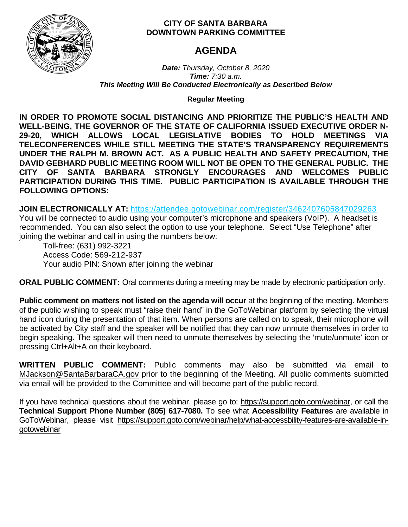

# **CITY OF SANTA BARBARA DOWNTOWN PARKING COMMITTEE**

# **AGENDA**

*Date: Thursday, October 8, 2020 Time: 7:30 a.m. This Meeting Will Be Conducted Electronically as Described Below*

**Regular Meeting**

**IN ORDER TO PROMOTE SOCIAL DISTANCING AND PRIORITIZE THE PUBLIC'S HEALTH AND WELL-BEING, THE GOVERNOR OF THE STATE OF CALIFORNIA ISSUED EXECUTIVE ORDER N-29-20, WHICH ALLOWS LOCAL LEGISLATIVE BODIES TO HOLD MEETINGS VIA TELECONFERENCES WHILE STILL MEETING THE STATE'S TRANSPARENCY REQUIREMENTS UNDER THE RALPH M. BROWN ACT. AS A PUBLIC HEALTH AND SAFETY PRECAUTION, THE DAVID GEBHARD PUBLIC MEETING ROOM WILL NOT BE OPEN TO THE GENERAL PUBLIC. THE CITY OF SANTA BARBARA STRONGLY ENCOURAGES AND WELCOMES PUBLIC PARTICIPATION DURING THIS TIME. PUBLIC PARTICIPATION IS AVAILABLE THROUGH THE FOLLOWING OPTIONS:**

**JOIN ELECTRONICALLY AT:** <https://attendee.gotowebinar.com/register/3462407605847029263>

You will be connected to audio using your computer's microphone and speakers (VoIP). A headset is recommended. You can also select the option to use your telephone. Select "Use Telephone" after joining the webinar and call in using the numbers below:

Toll-free: (631) 992-3221 Access Code: 569-212-937 Your audio PIN: Shown after joining the webinar

**ORAL PUBLIC COMMENT:** Oral comments during a meeting may be made by electronic participation only.

**Public comment on matters not listed on the agenda will occur** at the beginning of the meeting. Members of the public wishing to speak must "raise their hand" in the GoToWebinar platform by selecting the virtual hand icon during the presentation of that item. When persons are called on to speak, their microphone will be activated by City staff and the speaker will be notified that they can now unmute themselves in order to begin speaking. The speaker will then need to unmute themselves by selecting the 'mute/unmute' icon or pressing Ctrl+Alt+A on their keyboard.

**WRITTEN PUBLIC COMMENT:** Public comments may also be submitted via email to [MJackson@SantaBarbaraCA.gov](mailto:MJackson@SantaBarbaraCA.gov) prior to the beginning of the Meeting. All public comments submitted via email will be provided to the Committee and will become part of the public record.

If you have technical questions about the webinar, please go to: [https://support.goto.com/webinar,](https://support.goto.com/webinar) or call the **Technical Support Phone Number (805) 617-7080.** To see what **Accessibility Features** are available in GoToWebinar, please visit [https://support.goto.com/webinar/help/what-accessbility-features-are-available-in](https://support.goto.com/webinar/help/what-accessbility-features-are-available-in-gotowebinar)[gotowebinar](https://support.goto.com/webinar/help/what-accessbility-features-are-available-in-gotowebinar)